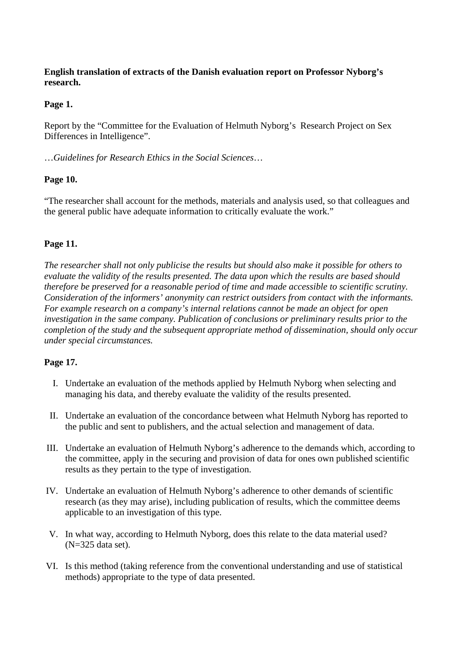## **English translation of extracts of the Danish evaluation report on Professor Nyborg's research.**

## **Page 1.**

Report by the "Committee for the Evaluation of Helmuth Nyborg's Research Project on Sex Differences in Intelligence".

…*Guidelines for Research Ethics in the Social Sciences*…

# **Page 10.**

"The researcher shall account for the methods, materials and analysis used, so that colleagues and the general public have adequate information to critically evaluate the work."

# **Page 11.**

*The researcher shall not only publicise the results but should also make it possible for others to evaluate the validity of the results presented. The data upon which the results are based should therefore be preserved for a reasonable period of time and made accessible to scientific scrutiny. Consideration of the informers' anonymity can restrict outsiders from contact with the informants. For example research on a company's internal relations cannot be made an object for open investigation in the same company. Publication of conclusions or preliminary results prior to the completion of the study and the subsequent appropriate method of dissemination, should only occur under special circumstances.* 

## **Page 17.**

- I. Undertake an evaluation of the methods applied by Helmuth Nyborg when selecting and managing his data, and thereby evaluate the validity of the results presented.
- II. Undertake an evaluation of the concordance between what Helmuth Nyborg has reported to the public and sent to publishers, and the actual selection and management of data.
- III. Undertake an evaluation of Helmuth Nyborg's adherence to the demands which, according to the committee, apply in the securing and provision of data for ones own published scientific results as they pertain to the type of investigation.
- IV. Undertake an evaluation of Helmuth Nyborg's adherence to other demands of scientific research (as they may arise), including publication of results, which the committee deems applicable to an investigation of this type.
- V. In what way, according to Helmuth Nyborg, does this relate to the data material used? (N=325 data set).
- VI. Is this method (taking reference from the conventional understanding and use of statistical methods) appropriate to the type of data presented.